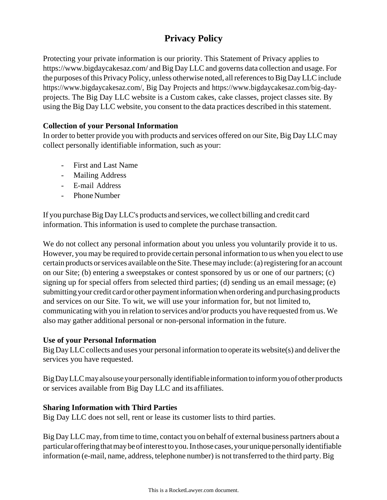# **Privacy Policy**

Protecting your private information is our priority. This Statement of Privacy applies to [https://www.bigdaycakesaz.com/](http://www.bigdaycakesaz.com/) and Big Day LLC and governs data collection and usage. For the purposes of this Privacy Policy, unless otherwise noted, all references to Big Day LLC include [https://www.bigdaycakesaz.com/, B](http://www.bigdaycakesaz.com/)ig Day Projects and [https://www.bigdaycakesaz.com/big-](http://www.bigdaycakesaz.com/big-day-)dayprojects. The Big Day LLC website is a Custom cakes, cake classes, project classes site. By using the Big Day LLC website, you consent to the data practices described in this statement.

## **Collection of your Personal Information**

In order to better provide you with products and services offered on our Site, Big Day LLC may collect personally identifiable information, such as your:

- First and Last Name
- Mailing Address
- E-mail Address
- Phone Number

If you purchase Big Day LLC's products and services, we collect billing and credit card information. This information is used to complete the purchase transaction.

We do not collect any personal information about you unless you voluntarily provide it to us. However, you may be required to provide certain personal information to us when you elect to use certain products or services available on the Site. These may include: (a) registering for an account on our Site; (b) entering a sweepstakes or contest sponsored by us or one of our partners; (c) signing up for special offers from selected third parties; (d) sending us an email message; (e) submitting your credit card or other payment information when ordering and purchasing products and services on our Site. To wit, we will use your information for, but not limited to, communicating with you in relation to services and/or products you have requested from us. We also may gather additional personal or non-personal information in the future.

#### **Use of your Personal Information**

Big Day LLC collects and uses your personal information to operate its website(s) and deliver the services you have requested.

Big Day LLC may also use your personally identifiable information to inform you of other products or services available from Big Day LLC and its affiliates.

## **Sharing Information with Third Parties**

Big Day LLC does not sell, rent or lease its customer lists to third parties.

Big Day LLC may, from time to time, contact you on behalf of external business partners about a particular offering that may be of interest to you. In those cases, your unique personally identifiable information (e-mail, name, address, telephone number) is not transferred to the third party. Big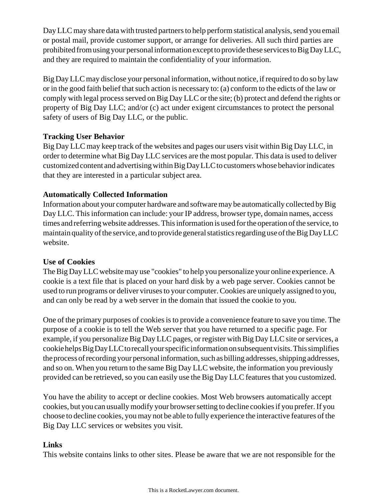Day LLC may share data with trusted partners to help perform statistical analysis, send you email or postal mail, provide customer support, or arrange for deliveries. All such third parties are prohibited from using your personal information except to provide these services to Big Day LLC, and they are required to maintain the confidentiality of your information.

Big Day LLC may disclose your personal information, without notice, if required to do so by law or in the good faith belief that such action is necessary to: (a) conform to the edicts of the law or comply with legal process served on Big Day LLC or the site; (b) protect and defend the rights or property of Big Day LLC; and/or (c) act under exigent circumstances to protect the personal safety of users of Big Day LLC, or the public.

# **Tracking User Behavior**

Big Day LLC may keep track of the websites and pages our users visit within Big Day LLC, in order to determine what Big Day LLC services are the most popular. This data is used to deliver customized content and advertising within Big Day LLC to customers whose behavior indicates that they are interested in a particular subject area.

# **Automatically Collected Information**

Information about your computer hardware and software may be automatically collected by Big Day LLC. This information can include: your IP address, browser type, domain names, access times and referring website addresses. This information is used for the operation of the service, to maintain quality of the service, and to provide general statistics regarding use of the Big Day LLC website.

## **Use of Cookies**

The Big Day LLC website may use "cookies" to help you personalize your online experience. A cookie is a text file that is placed on your hard disk by a web page server. Cookies cannot be used to run programs or deliver virusesto your computer.Cookies are uniquely assigned to you, and can only be read by a web server in the domain that issued the cookie to you.

One of the primary purposes of cookiesisto provide a convenience feature to save you time. The purpose of a cookie is to tell the Web server that you have returned to a specific page. For example, if you personalize Big Day LLC pages, or register with Big Day LLC site or services, a cookiehelpsBigDayLLCtorecallyourspecificinformationonsubsequentvisits.Thissimplifies the process of recording your personal information, such as billing addresses, shipping addresses, and so on. When you return to the same Big Day LLC website, the information you previously provided can be retrieved, so you can easily use the Big Day LLC features that you customized.

You have the ability to accept or decline cookies. Most Web browsers automatically accept cookies, but you can usuallymodify your browsersetting to decline cookiesif you prefer.If you choose to decline cookies, you may not be able to fully experience the interactive features ofthe Big Day LLC services or websites you visit.

## **Links**

This website contains links to other sites. Please be aware that we are not responsible for the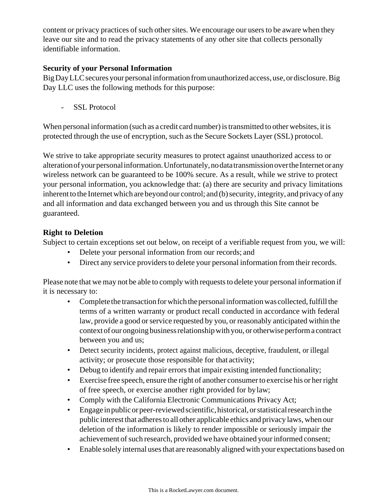content or privacy practices of such other sites. We encourage our users to be aware when they leave our site and to read the privacy statements of any other site that collects personally identifiable information.

#### **Security of your Personal Information**

Big Day LLC secures your personal information from unauthorized access, use, or disclosure. Big Day LLC uses the following methods for this purpose:

SSL Protocol

When personal information (such as a credit card number) is transmitted to other websites, it is protected through the use of encryption, such as the Secure Sockets Layer (SSL) protocol.

We strive to take appropriate security measures to protect against unauthorized access to or alteration of your personal information. Unfortunately, no data transmission over the Internet or any wireless network can be guaranteed to be 100% secure. As a result, while we strive to protect your personal information, you acknowledge that: (a) there are security and privacy limitations inherent to the Internet which are beyond our control; and (b) security, integrity, and privacy of any and all information and data exchanged between you and us through this Site cannot be guaranteed.

## **Right to Deletion**

Subject to certain exceptions set out below, on receipt of a verifiable request from you, we will:

- Delete your personal information from our records; and
- Direct any service providers to delete your personal information from their records.

Please note that we may not be able to comply with requests to delete your personal information if it is necessary to:

- Complete the transaction for which the personal information was collected, fulfill the terms of a written warranty or product recall conducted in accordance with federal law, provide a good or service requested by you, or reasonably anticipated within the context of our ongoing business relationship with you, or otherwise perform a contract between you and us;
- Detect security incidents, protect against malicious, deceptive, fraudulent, or illegal activity; or prosecute those responsible for that activity;
- Debug to identify and repair errors that impair existing intended functionality;
- Exercise free speech, ensure the right of another consumer to exercise his or her right of free speech, or exercise another right provided for bylaw;
- Comply with the California Electronic Communications Privacy Act;
- Engage inpublicorpeer-reviewedscientific,historical,orstatisticalresearchinthe public interest that adheresto all other applicable ethics and privacy laws, when our deletion of the information is likely to render impossible or seriously impair the achievement of such research, provided we have obtained your informed consent;
- Enable solely internal uses that are reasonably aligned with your expectations based on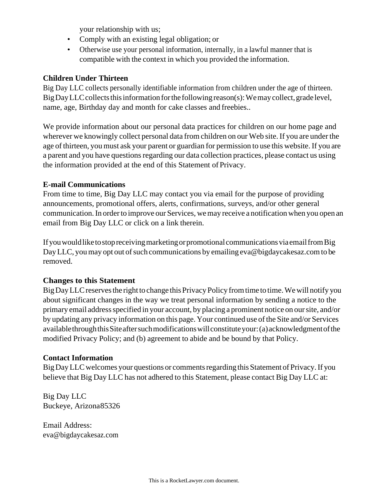your relationship with us;

- Comply with an existing legal obligation; or
- Otherwise use your personal information, internally, in a lawful manner that is compatible with the context in which you provided the information.

#### **Children Under Thirteen**

Big Day LLC collects personally identifiable information from children under the age of thirteen. Big Day LLC collects this information for the following reason(s): We may collect, grade level, name, age, Birthday day and month for cake classes and freebies..

We provide information about our personal data practices for children on our home page and wherever we knowingly collect personal data from children on our Web site. If you are under the age of thirteen, you must ask your parent or guardian for permission to use this website.If you are a parent and you have questions regarding our data collection practices, please contact us using the information provided at the end of this Statement of Privacy.

#### **E-mail Communications**

From time to time, Big Day LLC may contact you via email for the purpose of providing announcements, promotional offers, alerts, confirmations, surveys, and/or other general communication. In order to improve our Services, we may receive a notification when you open an email from Big Day LLC or click on a link therein.

If you would like to stop receiving marketing or promotional communications via email from Big Day LLC, you may opt out of such communications by emailing eva@bigdaycakesaz.com to be removed.

## **Changes to this Statement**

Big Day LLC reserves the right to change this Privacy Policy from time to time. We will notify you about significant changes in the way we treat personal information by sending a notice to the primary email addressspecified in your account, by placing a prominent notice on oursite, and/or by updating any privacy information on this page. Your continued use of the Site and/or Services availablethroughthis Site after such modifications will constitute your: (a) acknowledgment of the modified Privacy Policy; and (b) agreement to abide and be bound by that Policy.

#### **Contact Information**

Big Day LLC welcomes your questions or comments regarding this Statement of Privacy. If you believe that Big Day LLC has not adhered to this Statement, please contact Big Day LLC at:

Big Day LLC Buckeye, Arizona85326

Email Address: [eva@bigdaycakesaz.com](mailto:eva@bigdaycakesaz.com)